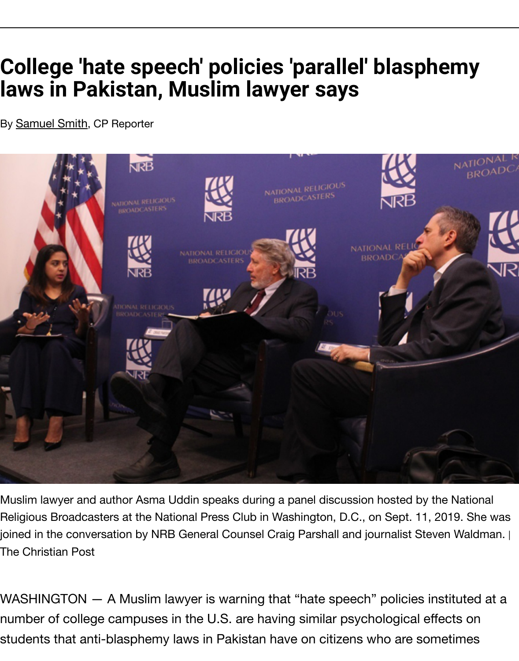## **laws in Pakistan, Muslim lawyer says**

By **Samuel Smith**, CP Reporter



Muslim lawyer and author Asma Uddin speaks during a panel discussion hosted by th Religious Broadcasters at the National Press Club in Washington, D.C., on Sept. 11, 2 joined in the conversation by NRB General Counsel Craig Parshall and journalist Steve The Christian Post

WASHINGTON — A Muslim lawyer is warning that "hate speech" policies instituted at a number of college campuses in the U.S. are having similar psychological effects students that anti-blasphemy laws in Pakistan have on citizens who are som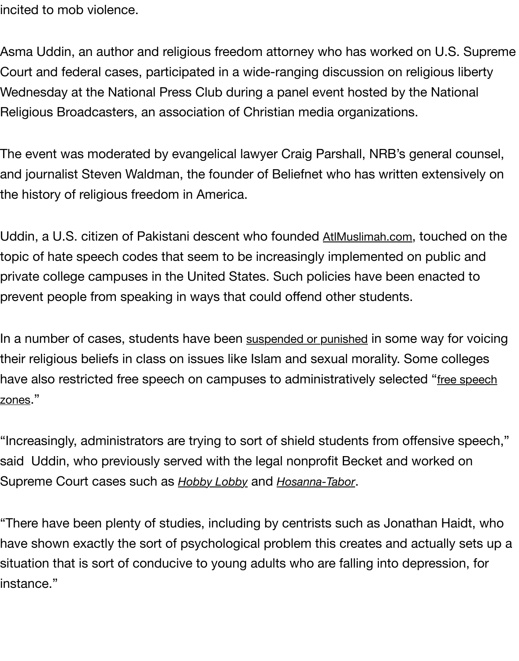wednesday at the National Press Club during a panel event hosted by the N Religious Broadcasters, an association of Christian media organizations.

The event was moderated by evangelical lawyer Craig Parshall, NRB's gener and journalist Steven Waldman, the founder of Beliefnet who has written extensively the history of religious freedom in America.

Uddin, a U.S. citizen of Pakistani descent who founded AtlMuslimah.com, toud topic of hate speech codes that seem to be increasingly implemented on pu private college campuses in the United States. Such policies have been enae prevent people from speaking in ways that could offend other students.

In a number of cases, students have been suspended or punished [in some](http://www.altmuslimah.com/) way their religious beliefs in class on issues like Islam and sexual morality. Some have also restricted free speech on campuses to administratively selected "f zones."

"Increasingly, administrators are trying to [sort of shield students](https://www.christianpost.com/news/student-reinstated-after-suspension-over-clash-with-muslim-professor-179175/) from offensi said Uddin, who previously served with the legal nonprofit Becket and work Supreme Court cases such as *Hobby Lobby* and *Hosanna-Tabor*.

"There have been plenty of studies, including by centrists such as Jonathan have shown exactly the sort of psychological problem this creates and actua situation that is sort of conduc[ive to young](https://www.christianpost.com/news/supreme-court-hobby-lobby-decision-a-win-for-religious-freedom-not-about-contraception-christian-leaders-say.html) adul[ts who are fall](https://www.christianpost.com/news/supreme-court-upholds-churchs-religious-liberty-in-unanimous-decision-66934/)ing into depres instance."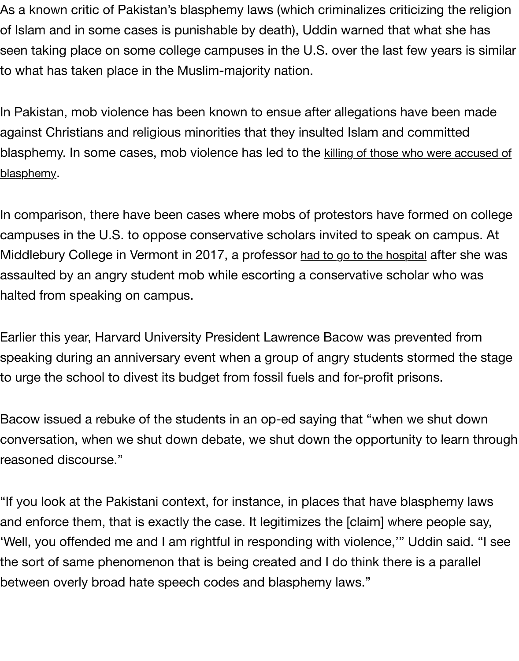In Pakistan, mob violence has been known to ensue after allegations have be against Christians and religious minorities that they insulted Islam and comm blasphemy. In some cases, mob violence has led to the killing of those who we blasphemy.

In comparison, there have been cases where mobs of protestors have forme campuses in the U.S. to oppose conservative scholars invited to speak on c Middlebury College in Vermont in 2017, a professor had to go to the hospital af assaulted by an angry student mob while escorting a conservative scholar w halted from speaking on campus.

Earlier this year, Harvard University President Lawre[nce Bacow was preven](https://www.christianpost.com/news/middlebury-student-mob-vermont-charles-murray-injures-professor-conservative-speak.html)te speaking during an anniversary event when a group of angry students storm to urge the school to divest its budget from fossil fuels and for-profit prisons.

Bacow issued a rebuke of the students in an op-ed saying that "when we sh conversation, when we shut down debate, we shut down the opportunity to reasoned discourse."

"If you look at the Pakistani context, for instance, in places that have blasphe and enforce them, that is exactly the case. It legitimizes the [claim] where pe 'Well, you offended me and I am rightful in responding with violence,'" Uddir the sort of same phenomenon that is being created and I do think there is a between overly broad hate speech codes and blasphemy laws."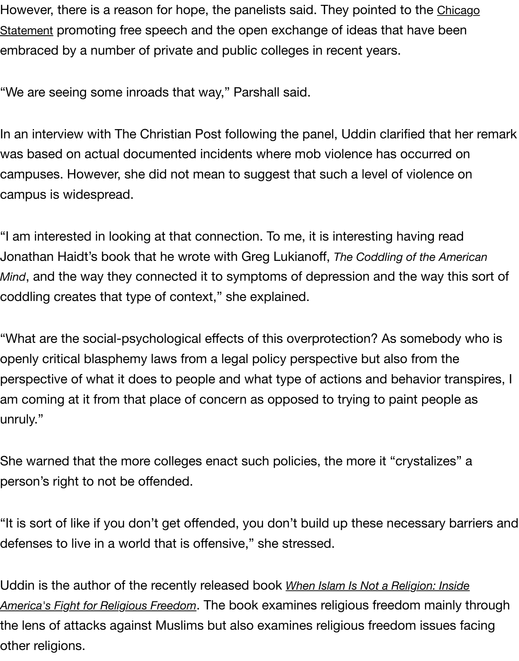["We are seeing some inroads that way," Parshall said.](https://www.thefire.org/get-involved/student-network/take-action/adopting-the-chicago-statement/) 

In an interview with The Christian Post following the panel, Uddin clarified th was based on actual documented incidents where mob violence has occurre campuses. However, she did not mean to suggest that such a level of violen campus is widespread.

"I am interested in looking at that connection. To me, it is interesting having r Jonathan Haidt's book that he wrote with Greg Lukianoff, *The Coddling of the American Mind*, and the way they connected it to symptoms of depression and the way coddling creates that type of context," she explained.

"What are the social-psychological effects of this overprotection? As someb openly critical blasphemy laws from a legal policy perspective but also from perspective of what it does to people and what type of actions and behavior am coming at it from that place of concern as opposed to trying to paint ped unruly."

She warned that the more colleges enact such policies, the more it "crystaliz person's right to not be offended.

"It is sort of like if you don't get offended, you don't build up these necessary defenses to live in a world that is offensive," she stressed.

Uddin is the author of the recently released book *When Islam Is Not a Religion: I* America's Fight for Religious Freedom. The book examines religious freedom ma the lens of attacks against Muslims but also examines religious freedom issu other religions.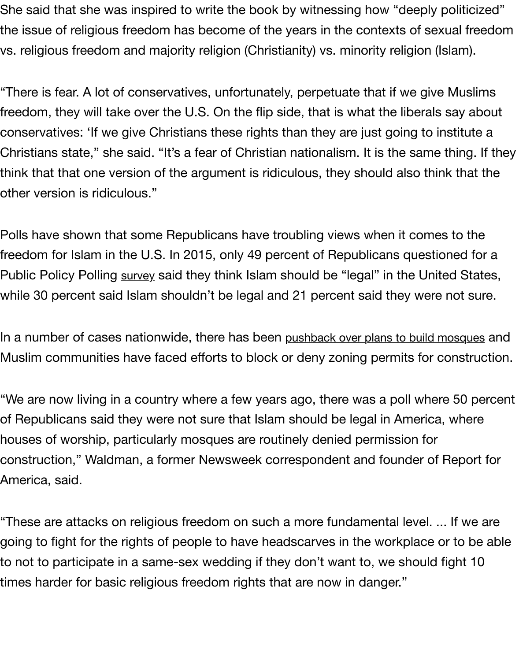$\degree$  i nere is fear. A lot of conservatives, unfortunately, perpetuate that if we give freedom, they will take over the U.S. On the flip side, that is what the liberals conservatives: 'If we give Christians these rights than they are just going to in Christians state," she said. "It's a fear of Christian nationalism. It is the same think that that one version of the argument is ridiculous, they should also thir other version is ridiculous."

Polls have shown that some Republicans have troubling views when it come freedom for Islam in the U.S. In 2015, only 49 percent of Republicans question Public Policy Polling survey said they think Islam should be "legal" in the Unit while 30 percent said Islam shouldn't be legal and 21 percent said they were.

In a number of cases nationwide, there has been pushback over plans to build r Muslim communities [have f](https://www.publicpolicypolling.com/polls/trump-still-leads-iowa-clinton-in-good-shape/#more)aced efforts to block or deny zoning permits for d

"We are now living in a country where a few years ago, there was a poll where of Republicans said they were not sure that Islam should be legal in America houses of worship, particularly mosques are routinely denied permission for construction," Waldman, a former Newsweek correspondent and founder of America, said.

"These are attacks on religious freedom on such a more fundamental level.. going to fight for the rights of people to have headscarves in the workplace or to not to participate in a same-sex wedding if they don't want to, we should times harder for basic religious freedom rights that are now in danger."